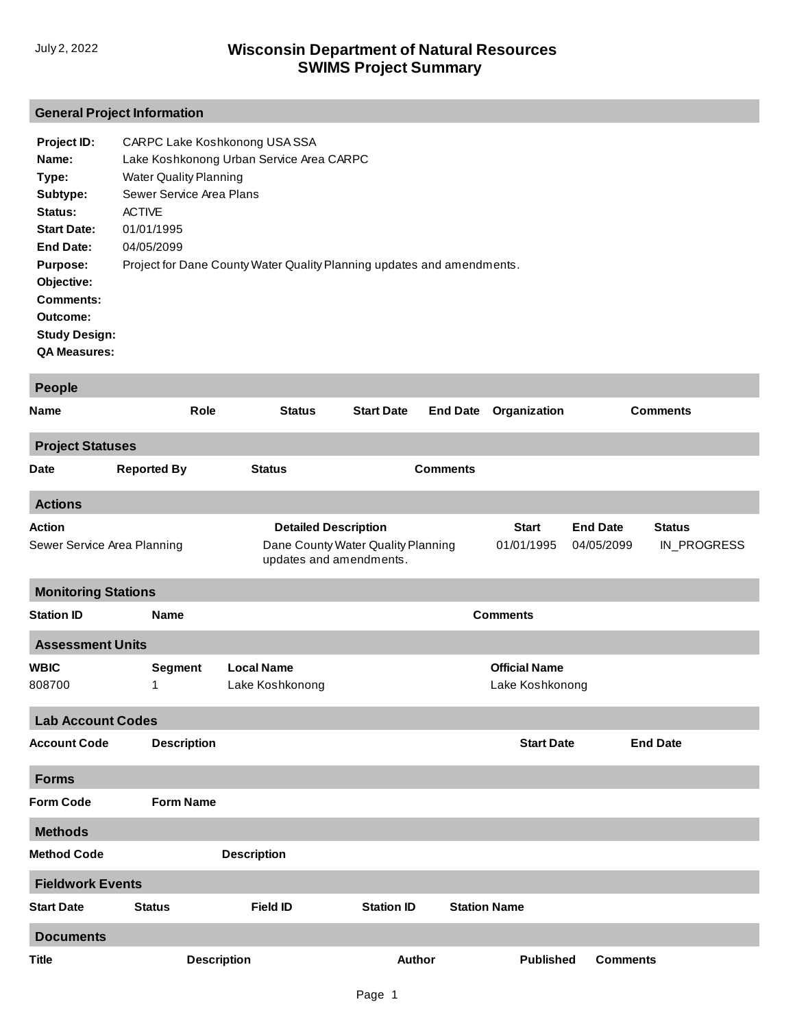## **General Project Information**

| Project ID:          | CARPC Lake Koshkonong USA SSA                                          |
|----------------------|------------------------------------------------------------------------|
| Name:                | Lake Koshkonong Urban Service Area CARPC                               |
| Type:                | <b>Water Quality Planning</b>                                          |
| Subtype:             | Sewer Service Area Plans                                               |
| Status:              | <b>ACTIVE</b>                                                          |
| <b>Start Date:</b>   | 01/01/1995                                                             |
| <b>End Date:</b>     | 04/05/2099                                                             |
| <b>Purpose:</b>      | Project for Dane County Water Quality Planning updates and amendments. |
| Objective:           |                                                                        |
| Comments:            |                                                                        |
| Outcome:             |                                                                        |
| <b>Study Design:</b> |                                                                        |
| <b>QA Measures:</b>  |                                                                        |

| <b>People</b>               |                    |                                                               |                   |                 |                      |                 |                 |  |  |
|-----------------------------|--------------------|---------------------------------------------------------------|-------------------|-----------------|----------------------|-----------------|-----------------|--|--|
| Name                        | Role               | <b>Status</b>                                                 | <b>Start Date</b> | <b>End Date</b> | Organization         |                 | <b>Comments</b> |  |  |
| <b>Project Statuses</b>     |                    |                                                               |                   |                 |                      |                 |                 |  |  |
| <b>Date</b>                 | <b>Reported By</b> | <b>Status</b>                                                 |                   | <b>Comments</b> |                      |                 |                 |  |  |
| <b>Actions</b>              |                    |                                                               |                   |                 |                      |                 |                 |  |  |
| <b>Action</b>               |                    | <b>Detailed Description</b>                                   |                   |                 | <b>Start</b>         | <b>End Date</b> | <b>Status</b>   |  |  |
| Sewer Service Area Planning |                    | Dane County Water Quality Planning<br>updates and amendments. |                   | 01/01/1995      | 04/05/2099           | IN_PROGRESS     |                 |  |  |
| <b>Monitoring Stations</b>  |                    |                                                               |                   |                 |                      |                 |                 |  |  |
| <b>Station ID</b>           | <b>Name</b>        | <b>Comments</b>                                               |                   |                 |                      |                 |                 |  |  |
| <b>Assessment Units</b>     |                    |                                                               |                   |                 |                      |                 |                 |  |  |
| <b>WBIC</b>                 | <b>Segment</b>     | <b>Local Name</b>                                             |                   |                 | <b>Official Name</b> |                 |                 |  |  |
| 808700                      | 1                  | Lake Koshkonong                                               |                   |                 | Lake Koshkonong      |                 |                 |  |  |
| <b>Lab Account Codes</b>    |                    |                                                               |                   |                 |                      |                 |                 |  |  |
| <b>Account Code</b>         | <b>Description</b> |                                                               |                   |                 | <b>Start Date</b>    |                 | <b>End Date</b> |  |  |
| <b>Forms</b>                |                    |                                                               |                   |                 |                      |                 |                 |  |  |
| <b>Form Code</b>            | <b>Form Name</b>   |                                                               |                   |                 |                      |                 |                 |  |  |
| <b>Methods</b>              |                    |                                                               |                   |                 |                      |                 |                 |  |  |
| <b>Method Code</b>          |                    | <b>Description</b>                                            |                   |                 |                      |                 |                 |  |  |
| <b>Fieldwork Events</b>     |                    |                                                               |                   |                 |                      |                 |                 |  |  |
| <b>Start Date</b>           | <b>Status</b>      | <b>Field ID</b>                                               | <b>Station ID</b> |                 | <b>Station Name</b>  |                 |                 |  |  |
| <b>Documents</b>            |                    |                                                               |                   |                 |                      |                 |                 |  |  |
| <b>Title</b>                | <b>Description</b> |                                                               | Author            |                 | <b>Published</b>     | Comments        |                 |  |  |